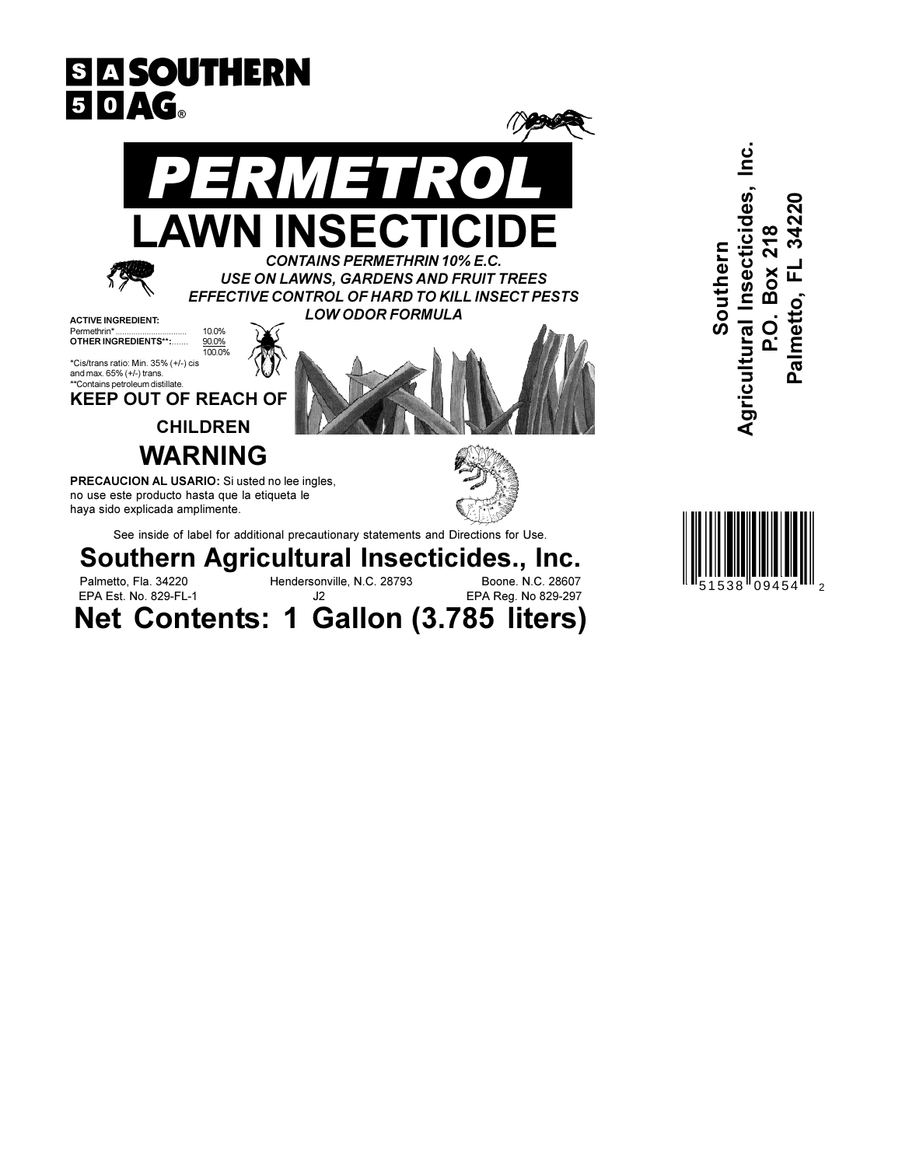



Agricultural Insecticides, Inc.

Southern

ထ

Box

 $\overline{C}$ 

Palmetto, FL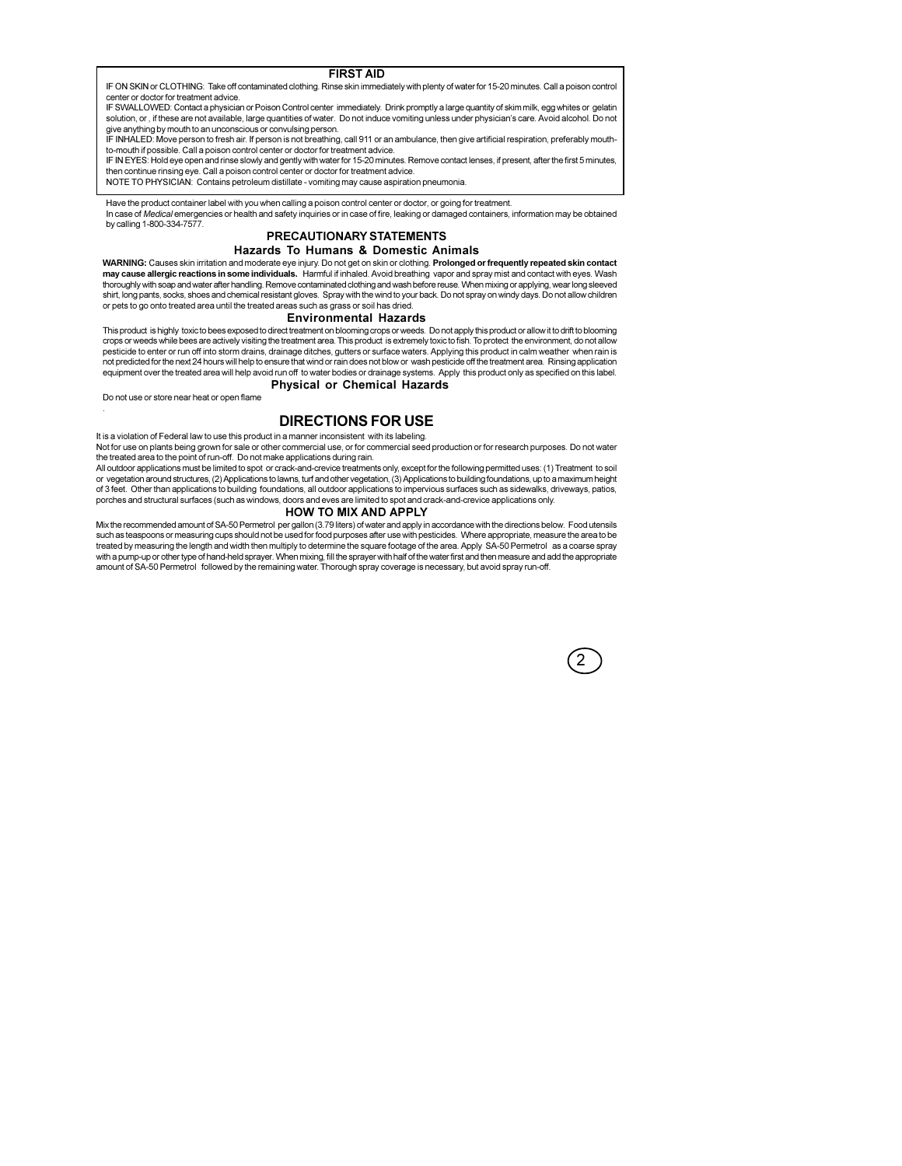### **FIRST AID**

IF ON SKIN or CLOTHING: Take off contaminated clothing. Rinse skin immediately with plenty of water for 15-20 minutes. Call a poison control center or doctor for treatment advice.

IF SWALLOWED: Contact a physician or Poison Control center immediately. Drink promptly a large quantity of skim milk, egg whites or gelatin solution, or, if these are not available, large quantities of water. Do not induce vomiting unless under physician's care. Avoid alcohol. Do not out and the product in the authority and consider control of the control of the control of the anglost of the p<br>The anything by mouth to an unconscious or convulsing person.<br>IF INHALED: Move person to fresh air. If person

to-mouth if possible. Call a poison control center or doctor for treatment advice.

if in EYES: Hold eye open and rinse slowly and gently with water for 15-20 minutes. Remove contact lenses, if present, after the first 5 minutes, if it is a statement of the first 5 minutes. then continue rinsing eye. Call a poison control center or doctor for treatment advice.

NOTE TO PHYSICIAN: Contains petroleum distillate - vomiting may cause aspiration pneumonia.

Have the product container label with you when calling a poison control center or doctor, or going for treatment.

In case of Medical emergencies or health and safety inquiries or in case of fire, leaking or damaged containers, information may be obtained by calling 1-800-334-7577.

### PRECAUTIONARY STATEMENTS Hazards To Humans & Domestic Animals

WARNING: Causes skin irritation and moderate eye injury. Do not get on skin or clothing. Prolonged or frequently repeated skin contact may cause allergic reactions in some individuals. Harmful if inhaled. Avoid breathing vapor and spray mist and contact with eyes. Wash thoroughly with soap and water after handling. Remove contaminated clothing and wash be shirt, long pants, socks, shoes and chemical resistant gloves. Spray with the wind to your back. Do not spray on windy days. Do not allow children or pets to go onto treated area until the treated areas such as grass or soil has dried.

#### **Environmental Hazards**

This product is highly toxic to bees exposed to direct treatment on blooming crops or weeds. Do not apply this product or allow it to drift to blooming crops or weeds while bees are actively visiting the treatment area. This product is extremely toxic to fish. To protect the environment, do not allow pesticide to enter or run off into storm drains, drainage ditches, gutters or surface waters. Applying this product in calm weather when rain is not predicted for the next 24 hours will help to ensure that wind or rain does not blow or wash pesticide off the treatment area. Rinsing application equipment over the treated area will help avoid run off to water bodies or drainage systems. Apply this product only as specified on this label. **Physical or Chemical Hazards** 

Do not use or store near heat or open flame

# **DIRECTIONS FOR USE**

It is a violation of Federal law to use this product in a manner inconsistent with its labeling.

Not for use on plants being grown for sale or other commercial use, or for commercial seed production or for research purposes. Do not water the treated area to the point of run-off. Do not make applications during rain.

All outdoor applications must be limited to spot or crack-and-crevice treatments only, except for the following permitted uses; (1) Treatment to soil or vegetation around structures, (2) Applications to lawns, turf and other vegetation, (3) Applications to building foundations, up to a maximum height of 3 feet. Other than applications to building foundations, all outdoor applications to impervious surfaces such as sidewalks, driveways, patios, porches and structural surfaces (such as windows, doors and eves are limited to spot and crack-and-crevice applications only.

#### HOW TO MIX AND APPLY

Mix the recommended amount of SA-50 Permetrol per gallon (3.79 liters) of water and apply in accordance with the directions below. Food utensils such as teaspoons or measuring cups should not be used for food purposes after use with pesticides. Where appropriate, measure the area to be treated by measuring the length and width then multiply to determine the square footage of the area. Apply SA-50 Permetrol as a coarse spray with a pump-up or other type of hand-held sprayer. When mixing, fill the sprayer with half of the water first and then measure and add the appropriate amount of SA-50 Permetrol followed by the remaining water. Thorough spray coverage is necessary, but avoid spray run-off.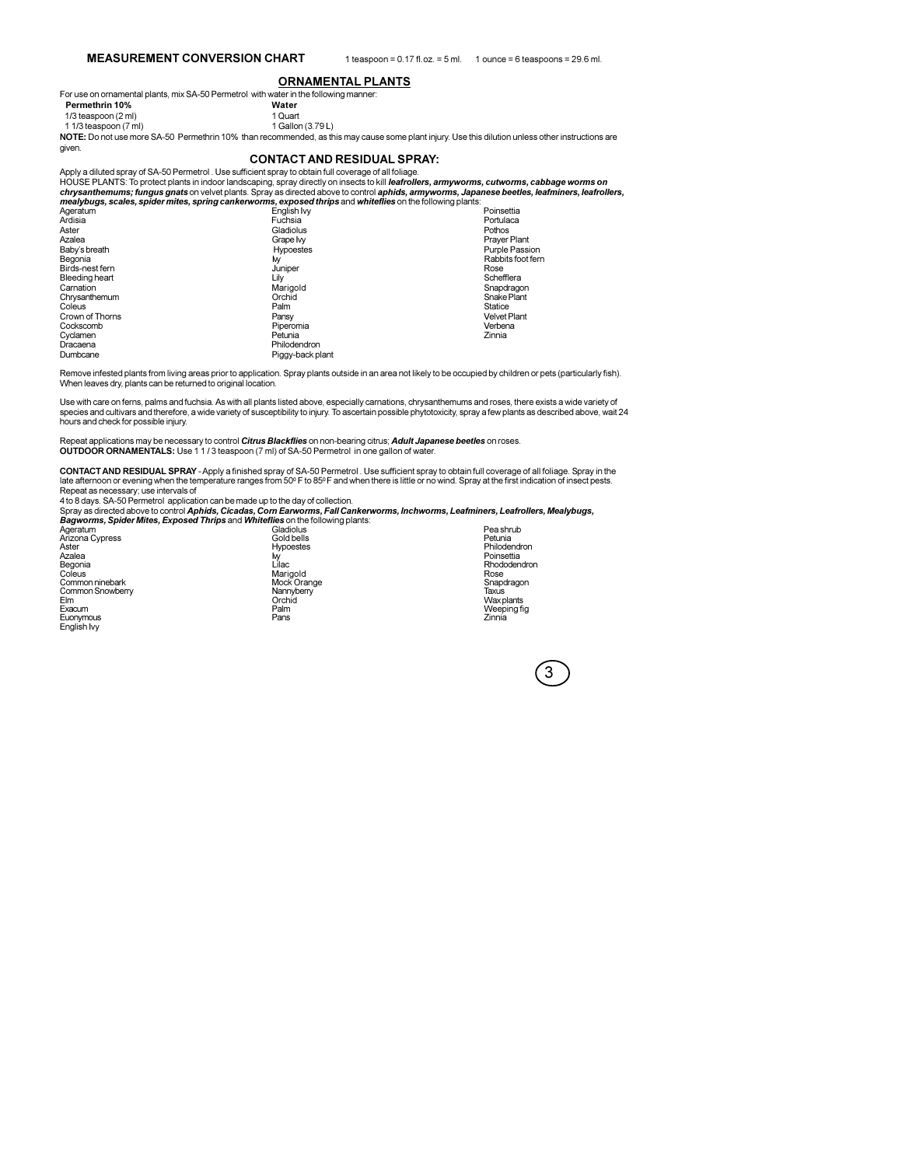### **ORNAMENTAL PLANTS**

For use on ornamental plants, mix SA-50 Permetrol with water in the following manner: Water

Permethrin 10%

given.

1/3 teaspoon (2 ml) 1 1/3 teaspoon (7 ml)

net successive the mark of the methrin 10% than recommended, as this may cause some plant injury. Use this dilution unless other instructions are NOTE: Do not use more SA-50 Permethrin 10% than recommended, as this may cau

1 Quart 1 Gallon (3.79 L)

#### **CONTACT AND RESIDUAL SPRAY:**

Apply a diluted spray of SA-50 Permetrol . Use sufficient spray to obtain full coverage of all foliage. HOUSE PLANTS: To protect plants in indoor landscaping, spray directly on insects to kill leafrollers, armyworms, cutworms, cabbage worms on chrysanthemums; fungus gnats on velvet plants. Spray as directed above to control aphids, armyworms, Japanese beetles, leafminers, leafrollers, mealvburs. scales. spider mites. spring cankerworms. exposed thrips and whitef

| Ageratum        | English Ivy      | Poinsettia            |
|-----------------|------------------|-----------------------|
| Ardisia         | Fuchsia          | Portulaca             |
| Aster           | Gladiolus        | Pothos                |
| Azalea          | Grape Ivv        | <b>Praver Plant</b>   |
| Baby's breath   | <b>Hypoestes</b> | <b>Purple Passion</b> |
| Begonia         | M                | Rabbits foot fern     |
| Birds-nest fern | Juniper          | Rose                  |
| Bleeding heart  | Lily             | Schefflera            |
| Carnation       | Marigold         | Snapdragon            |
| Chrysanthemum   | Orchid           | Snake Plant           |
| Coleus          | Palm             | Statice               |
| Crown of Thorns | Pansy            | <b>Velvet Plant</b>   |
| Cockscomb       | Piperomia        | Verbena               |
| Cyclamen        | Petunia          | Zinnia                |
| Dracaena        | Philodendron     |                       |
| Dumbcane        | Piggy-back plant |                       |

Remove infested plants from living areas prior to application. Spray plants outside in an area not likely to be occupied by children or pets (particularly fish). When leaves dry, plants can be returned to original location.

Use with care on ferns, palms and fuchsia. As with all plants listed above, especially carnations, chrysanthemums and roses, there exists a wide variety of species and cultivars and therefore, a wide variety of susceptibility to injury. To ascertain possible phytotoxicity, spray a few plants as described above, wait 24 species and cultivars and therefore, a wide variety of su hours and check for possible injury.

Repeat applications may be necessary to control Citrus Blackflies on non-bearing citrus; Adult Japanese beetles on roses. OUTDOOR ORNAMENTALS: Use 11/3 teaspoon (7 ml) of SA-50 Permetrol in one gallon of water

CONTACT AND RESIDUAL SPRAY - Apply a finished spray of SA-50 Permetrol. Use sufficient spray to obtain full coverage of all foliage. Spray in the late afternoon or evening when the temperature ranges from 50° F to 85° F an

4 to 8 days. SA-50 Permetrol application can be made up to the day of collection.

Spray as directed above to control Aphids, Cicadas, Corn Earworms, Fall Cankerworms, Inchworms, Leafminers, Leafrollers, Mealybugs, Bagworms, Spider Mites, Exposed Thrips and Whiteflies on the following plants:

| Ageratum         | Gladiolus   | Pea shrub         |
|------------------|-------------|-------------------|
| Arizona Cypress  | Gold bells  | Petunia           |
| Aster            | Hypoestes   | Philodendron      |
| Azalea           | M           | Poinsettia        |
| Begonia          | Lilac       | Rhododendron      |
| Coleus           | Marigold    | Rose              |
| Common ninebark  | Mock Orange | Snapdragon        |
| Common Snowberry | Nannyberry  | Taxus             |
| Elm              | Orchid      | <b>Wax plants</b> |
| Exacum           | Palm        | Weeping fig       |
| Euonymous        | Pans        | Zinnia            |
|                  |             |                   |

English Ivy

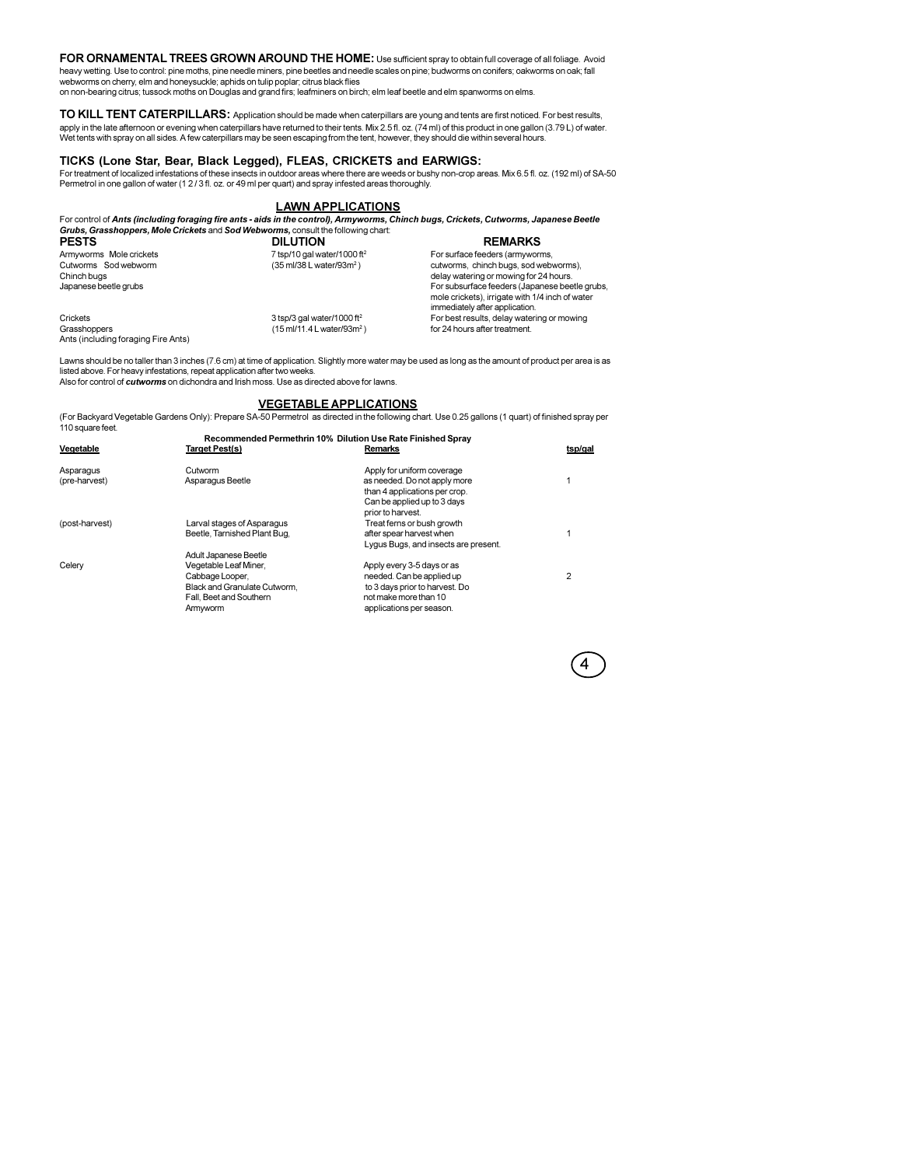FOR ORNAMENTAL TREES GROWN AROUND THE HOME: Use sufficient spray to obtain full coverage of all foliage. Avoid heavy wetting. Use to control: pine moths, pine needle miners, pine beetles and needle scales on pine; budworms on conifers; oakworms on oak; fall webworms on cherry, elm and honeysuckle; aphids on tulip poplar; citrus black flies

on non-bearing citrus; tussock moths on Douglas and grand firs; leafminers on birch; elm leaf beetle and elm spanworms on elms.

TO KILL TENT CATERPILLARS: Application should be made when caterpillars are young and tents are first noticed. For best results, apply in the late afternoon or evening when caterpillars have returned to their tents. Mix 2.5 fl. oz. (74 ml) of this product in one gallon (3.79 L) of water. Wet tents with spray on all sides. A few caterpillars may be seen escaping from the tent, however, they should die within several hours.

## TICKS (Lone Star, Bear, Black Legged), FLEAS, CRICKETS and EARWIGS:

For treatment of localized infestations of these insects in outdoor areas where there are weeds or bushy non-crop areas. Mix 6.5 fl. oz. (192 ml) of SA-50<br>Permetrol in one gallon of water (12/3 fl. oz. or 49 ml per quart)

# **LAWN APPLICATIONS**

For control of Ants (including foraging fire ants - aids in the control), Armyworms, Chinch bugs, Crickets, Cutworms, Japanese Beetle<br>Grubs, Grasshoppers, Mole Crickets and Sod Webworms, consult the following chart.<br>DILLIT

| <b>PESIS</b>                                         | <b>DILUTION</b>                         | <b>REMARKS</b>                                                                                                                      |
|------------------------------------------------------|-----------------------------------------|-------------------------------------------------------------------------------------------------------------------------------------|
| Armyworms Mole crickets                              | 7 tsp/10 gal water/1000 ft <sup>2</sup> | For surface feeders (armyworms,                                                                                                     |
| Cutworms Sod webworm                                 | (35 ml/38 L water/93m <sup>2</sup> )    | cutworms, chinch bugs, sod webworms),                                                                                               |
| Chinch buas                                          |                                         | delay watering or mowing for 24 hours.                                                                                              |
| Japanese beetle grubs                                |                                         | For subsurface feeders (Japanese beetle grubs,<br>mole crickets), irrigate with 1/4 inch of water<br>immediately after application. |
| Crickets                                             | 3 tsp/3 gal water/1000 ft <sup>2</sup>  | For best results, delay watering or mowing                                                                                          |
| Grasshoppers<br>Ants (including for aging Fire Ants) | (15 ml/11.4 L water/93m <sup>2</sup> )  | for 24 hours after treatment.                                                                                                       |

Lawns should be no taller than 3 inches (7.6 cm) at time of application. Slightly more water may be used as long as the amount of product per area is as listed above. For heavy infestations, repeat application after two weeks.<br>Also for control of cutworms on dichondra and Irish moss. Use as directed above for lawns.

## **VEGETABLE APPLICATIONS**

(For Backyard Vegetable Gardens Only): Prepare SA-50 Permetrol as directed in the following chart. Use 0.25 gallons (1 quart) of finished spray per 110 square feet.  $\sim$ .<br>Sederation attache 4.00% Pilottere Use Pete Flutch

| 2 |
|---|
|   |
|   |
|   |
|   |

4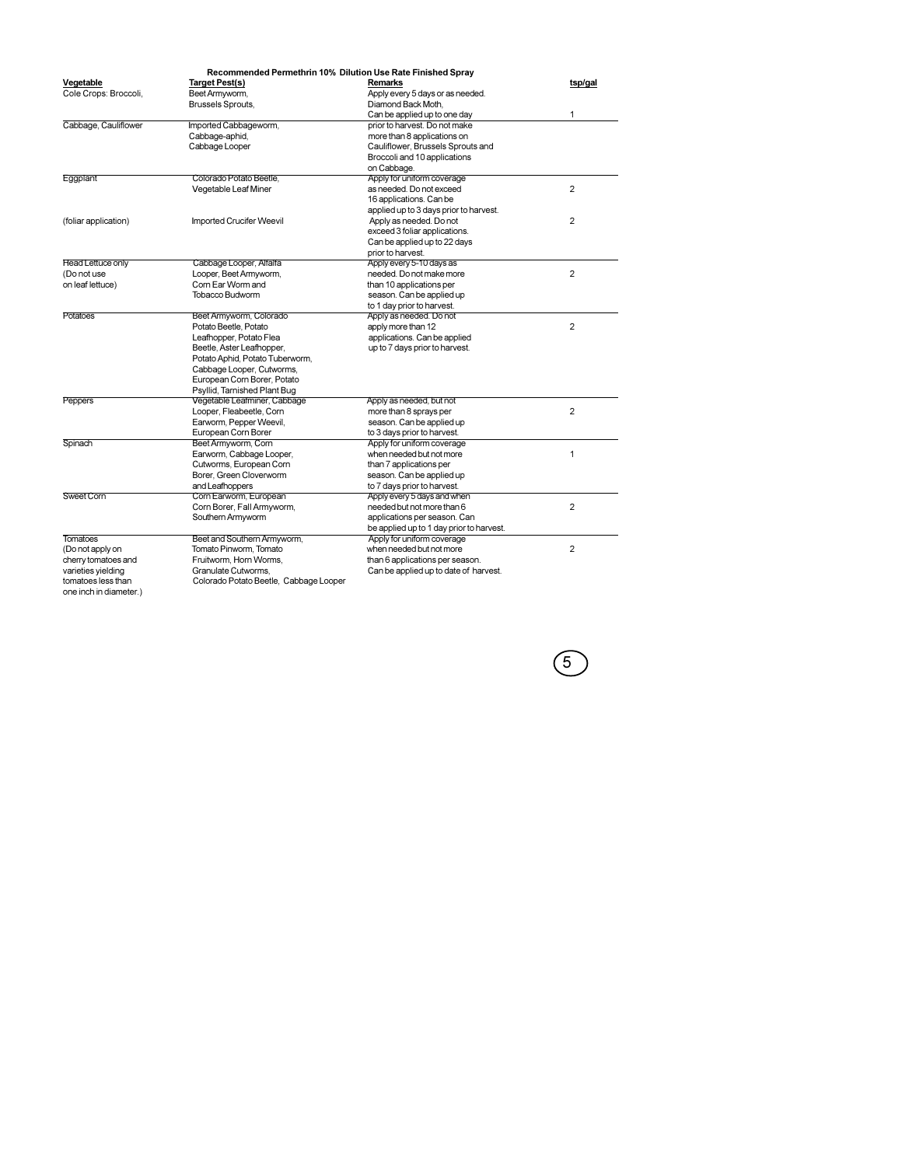| Recommended Permethrin 10% Dilution Use Rate Finished Spray |                                                              |                                          |                |  |
|-------------------------------------------------------------|--------------------------------------------------------------|------------------------------------------|----------------|--|
| Vegetable                                                   | Target Pest(s)                                               | <b>Remarks</b>                           | tsp/gal        |  |
| Cole Crops: Broccoli,                                       | Beet Armyworm,                                               | Apply every 5 days or as needed.         |                |  |
|                                                             | Brussels Sprouts,                                            | Diamond Back Moth,                       |                |  |
|                                                             |                                                              | Can be applied up to one day             | 1              |  |
| Cabbage, Cauliflower                                        | Imported Cabbageworm,                                        | prior to harvest. Do not make            |                |  |
|                                                             | Cabbage-aphid,                                               | more than 8 applications on              |                |  |
|                                                             | Cabbage Looper                                               | Cauliflower, Brussels Sprouts and        |                |  |
|                                                             |                                                              | Broccoli and 10 applications             |                |  |
|                                                             |                                                              | on Cabbage.                              |                |  |
| Eggplant                                                    | Colorado Potato Beetle,                                      | Apply for uniform coverage               |                |  |
|                                                             | Vegetable Leaf Miner                                         | as needed. Do not exceed                 | $\overline{2}$ |  |
|                                                             |                                                              | 16 applications, Can be                  |                |  |
|                                                             |                                                              | applied up to 3 days prior to harvest.   |                |  |
| (foliar application)                                        | <b>Imported Crucifer Weevil</b>                              | Apply as needed. Do not                  | $\overline{2}$ |  |
|                                                             |                                                              | exceed 3 foliar applications.            |                |  |
|                                                             |                                                              | Can be applied up to 22 days             |                |  |
|                                                             |                                                              | prior to harvest.                        |                |  |
| Head Lettuce only                                           | Cabbage Looper, Alfalfa                                      | Apply every 5-10 days as                 |                |  |
| (Do not use                                                 | Looper, Beet Armyworm,                                       | needed. Do not make more                 | 2              |  |
| on leaf lettuce)                                            | Corn Ear Worm and                                            | than 10 applications per                 |                |  |
|                                                             | Tobacco Budworm                                              | season. Can be applied up                |                |  |
|                                                             |                                                              | to 1 day prior to harvest.               |                |  |
| Potatoes                                                    | Beet Armyworm, Colorado                                      | Apply as needed. Do not                  |                |  |
|                                                             | Potato Beetle, Potato                                        | apply more than 12                       | $\overline{2}$ |  |
|                                                             | Leafhopper, Potato Flea                                      | applications. Can be applied             |                |  |
|                                                             | Beetle, Aster Leafhopper,                                    | up to 7 days prior to harvest.           |                |  |
|                                                             | Potato Aphid, Potato Tuberworm,                              |                                          |                |  |
|                                                             | Cabbage Looper, Cutworms,<br>European Corn Borer, Potato     |                                          |                |  |
|                                                             |                                                              |                                          |                |  |
| <b>Peppers</b>                                              | Psyllid, Tarnished Plant Bug<br>Vegetable Leafminer, Cabbage | Apply as needed, but not                 |                |  |
|                                                             | Looper, Fleabeetle, Corn                                     | more than 8 sprays per                   | $\overline{2}$ |  |
|                                                             | Earworm, Pepper Weevil,                                      | season. Can be applied up                |                |  |
|                                                             | European Corn Borer                                          | to 3 days prior to harvest.              |                |  |
| Spinach                                                     | Beet Armyworm, Corn                                          | Apply for uniform coverage               |                |  |
|                                                             | Earworm, Cabbage Looper,                                     | when needed but not more                 | $\mathbf{1}$   |  |
|                                                             | Cutworms, European Corn                                      | than 7 applications per                  |                |  |
|                                                             | Borer, Green Cloverworm                                      | season. Can be applied up                |                |  |
|                                                             | and Leafhoppers                                              | to 7 days prior to harvest.              |                |  |
| Sweet Corn                                                  | Corn Earworm, European                                       | Apply every 5 days and when              |                |  |
|                                                             | Corn Borer, Fall Armyworm,                                   | needed but not more than 6               | $\overline{2}$ |  |
|                                                             | Southern Armyworm                                            | applications per season. Can             |                |  |
|                                                             |                                                              | be applied up to 1 day prior to harvest. |                |  |
| <b>Tomatoes</b>                                             | Beet and Southern Armyworm,                                  | Apply for uniform coverage               |                |  |
| (Do not apply on                                            | Tomato Pinworm, Tomato                                       | when needed but not more                 | 2              |  |
| cherry tomatoes and                                         | Fruitworm, Horn Worms.                                       | than 6 applications per season.          |                |  |
| varieties yielding                                          | Granulate Cutworms,                                          | Can be applied up to date of harvest.    |                |  |
| tomatoes less than                                          | Colorado Potato Beetle, Cabbage Looper                       |                                          |                |  |
|                                                             |                                                              |                                          |                |  |

one inch in diameter.)

 $\circled{5}$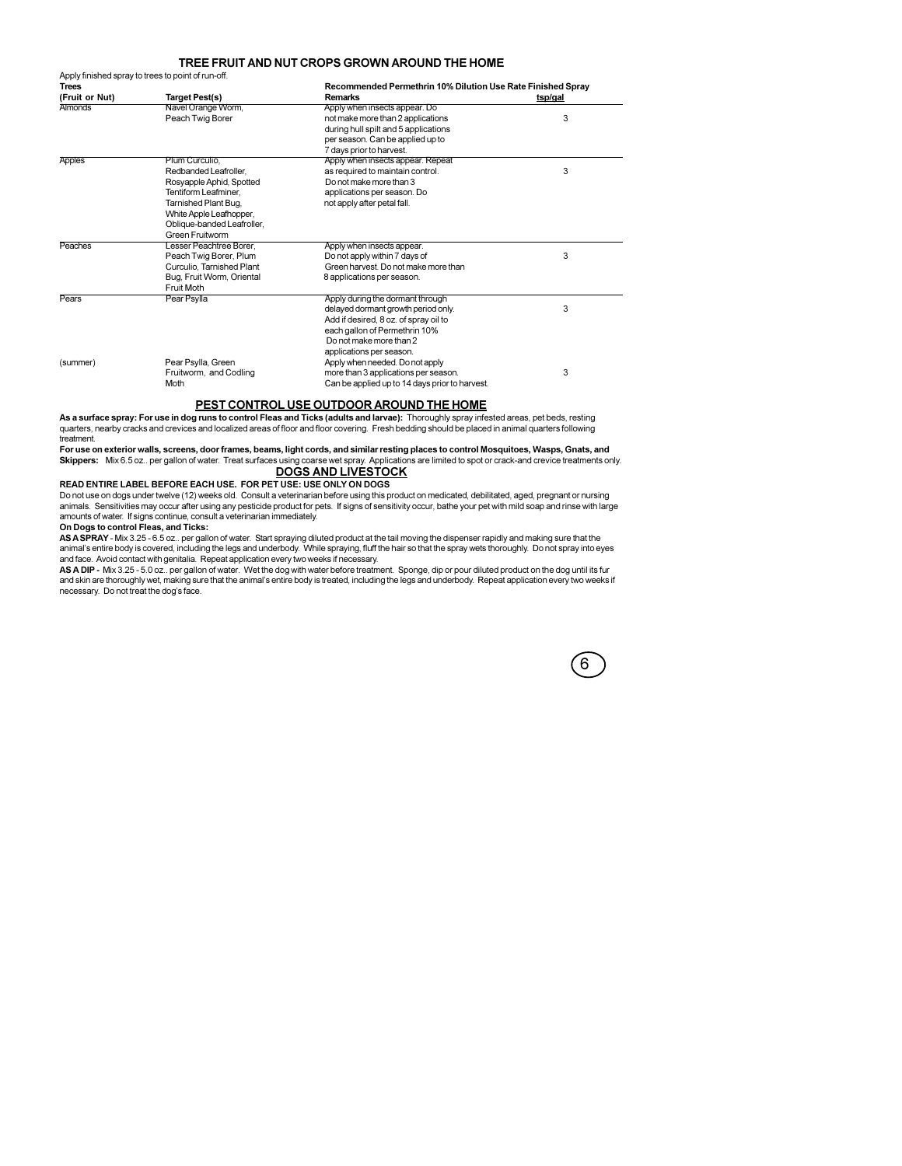### TREE FRUIT AND NUT CROPS GROWN AROUND THE HOME

|                | Apply finished spray to trees to point of run-off. |                                                             |         |  |
|----------------|----------------------------------------------------|-------------------------------------------------------------|---------|--|
| <b>Trees</b>   |                                                    | Recommended Permethrin 10% Dilution Use Rate Finished Spray |         |  |
| (Fruit or Nut) | <b>Target Pest(s)</b>                              | <b>Remarks</b>                                              | tsp/gal |  |
| <b>Almonds</b> | Navel Orange Worm.                                 | Apply when insects appear. Do                               |         |  |
|                | Peach Twig Borer                                   | not make more than 2 applications                           | 3       |  |
|                |                                                    | during hull spilt and 5 applications                        |         |  |
|                |                                                    | per season. Can be applied up to                            |         |  |
|                |                                                    | 7 days prior to harvest.                                    |         |  |
| <b>Apples</b>  | Plum Curculio.                                     | Apply when insects appear. Repeat                           |         |  |
|                | Redbanded Leafroller.                              | as required to maintain control.                            | 3       |  |
|                | Rosyapple Aphid, Spotted                           | Do not make more than 3                                     |         |  |
|                | Tentiform Leafminer.                               | applications per season. Do                                 |         |  |
|                | Tarnished Plant Bug.                               | not apply after petal fall.                                 |         |  |
|                | White Apple Leafhopper.                            |                                                             |         |  |
|                | Oblique-banded Leafroller.                         |                                                             |         |  |
|                | Green Fruitworm                                    |                                                             |         |  |
| Peaches        | Lesser Peachtree Borer,                            | Apply when insects appear.                                  |         |  |
|                | Peach Twig Borer, Plum                             | Do not apply within 7 days of                               | 3       |  |
|                | Curculio, Tarnished Plant                          | Green harvest. Do not make more than                        |         |  |
|                | Bug, Fruit Worm, Oriental                          | 8 applications per season.                                  |         |  |
|                | Fruit Moth                                         |                                                             |         |  |
| Pears          | Pear Psylla                                        | Apply during the dormant through                            |         |  |
|                |                                                    | delayed dormant growth period only.                         | 3       |  |
|                |                                                    | Add if desired, 8 oz. of spray oil to                       |         |  |
|                |                                                    | each gallon of Permethrin 10%                               |         |  |
|                |                                                    | Do not make more than 2                                     |         |  |
|                |                                                    | applications per season.                                    |         |  |
| (summer)       | Pear Psylla, Green                                 | Apply when needed. Do not apply                             |         |  |
|                | Fruitworm, and Codling                             | more than 3 applications per season.                        | 3       |  |
|                | Moth                                               | Can be applied up to 14 days prior to harvest.              |         |  |
|                |                                                    |                                                             |         |  |

# PEST CONTROL USE OUTDOOR AROUND THE HOME

As a surface spray: For use in dog runs to control Fleas and Ticks (adults and larvae): Thoroughly spray infested areas, pet beds, resting quarters, nearby cracks and crevices and localized areas of floor and floor coverin treatment.

For use on exterior walls, screens, door frames, beams, light cords, and similar resting places to control Mosquitoes, Wasps, Gnats, and Skippers: Mix 6.5 oz... per gallon of water. Treat surfaces using coarse wet spray. Applications are limited to spot or crack-and crevice treatments only.<br>DOGS AND LIVESTOCK

#### READ ENTIRE LABEL BEFORE EACH USE. FOR PET USE: USE ONLY ON DOGS

Do not use on dogs under twelve (12) weeks old. Consult a veterinarian before using this product on medicated, debilitated, aged, pregnant or nursing<br>animals. Sensitivities may occur after using any pesticide product for p amounts of water. If signs continue, consult a veterinarian immediately.

### On Dogs to control Fleas, and Ticks:

and a state of

On Dogs to common reas, and Theory and American Start spraying diluted product at the tail moving the dispenser rapidly and making sure that the animal's entire body is covered, including the legs and underbody. While spra and face. Avoid contact with genitalia. Repeat application every two weeks if necessary.

AS A DIP - Mix 3.25 - 5.0 oz. per gallon of water. Wet the dog with water before treatment. Sponge, dip or pour diluted product on the dog until its fur<br>and skin are thoroughly wet, making sure that the animal's entire bod necessary. Do not treat the dog's face.